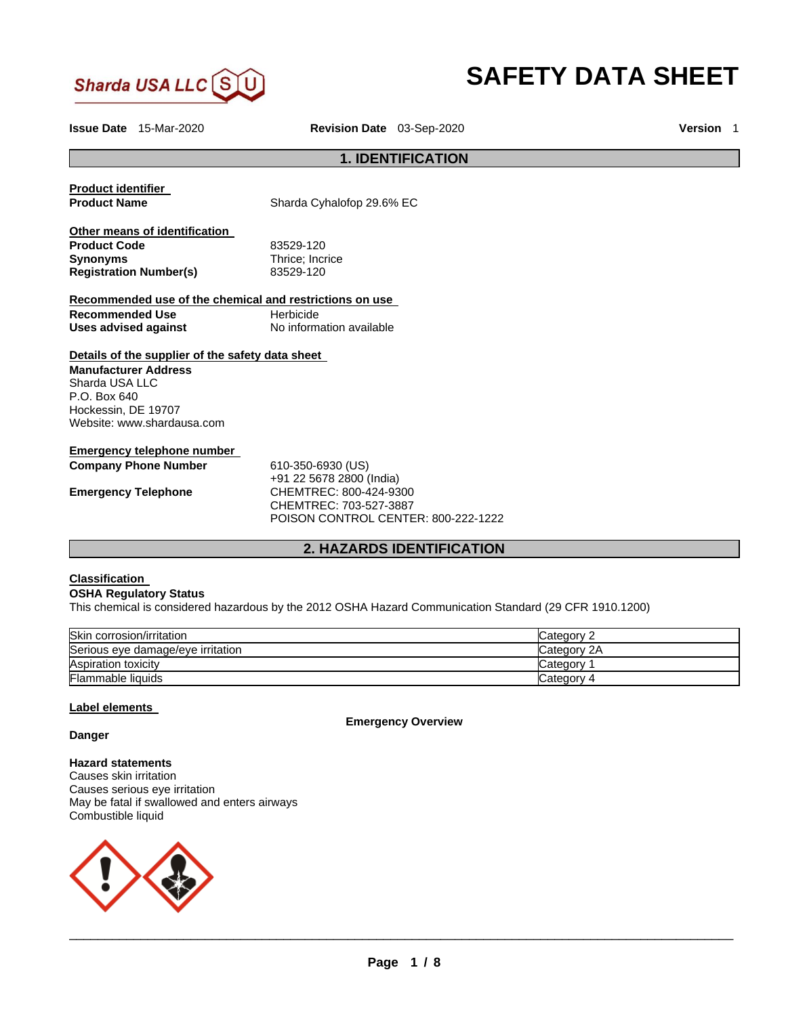

# **SAFETY DATA SHEET**

**Issue Date** 15-Mar-2020 **Revision Date** 03-Sep-2020 **Version** 1

# **1. IDENTIFICATION**

**Product identifier Product Name Sharda Cyhalofop 29.6% EC Other means of identification Product Code 83529-120<br>
<b>Synonyms** Thrice; Incr **Registration Number(s)** 83529-120

**Thrice: Incrice** 

**Recommended use of the chemical and restrictions on use Recommended Use Beaument Herbicide Uses advised against No information available** 

#### **Details of the supplier of the safety data sheet**

**Manufacturer Address** Sharda USA LLC P.O. Box 640 Hockessin, DE 19707 Website: www.shardausa.com

# **Emergency telephone number**

**Company Phone Number** 610-350-6930 (US)

+91 22 5678 2800 (India) **Emergency Telephone** CHEMTREC: 800-424-9300 CHEMTREC: 703-527-3887 POISON CONTROL CENTER: 800-222-1222

# **2. HAZARDS IDENTIFICATION**

# **Classification**

#### **OSHA Regulatory Status**

This chemical is considered hazardous by the 2012 OSHA Hazard Communication Standard (29 CFR 1910.1200)

| Skin corrosion/irritation         | Category 2  |
|-----------------------------------|-------------|
| Serious eye damage/eye irritation | Category 2A |
| <b>Aspiration toxicity</b>        | Category    |
| Flammable liquids                 | Category 4  |

# **Label elements**

**Emergency Overview** 

**Danger** 

**Hazard statements** Causes skin irritation Causes serious eye irritation May be fatal if swallowed and enters airways Combustible liquid

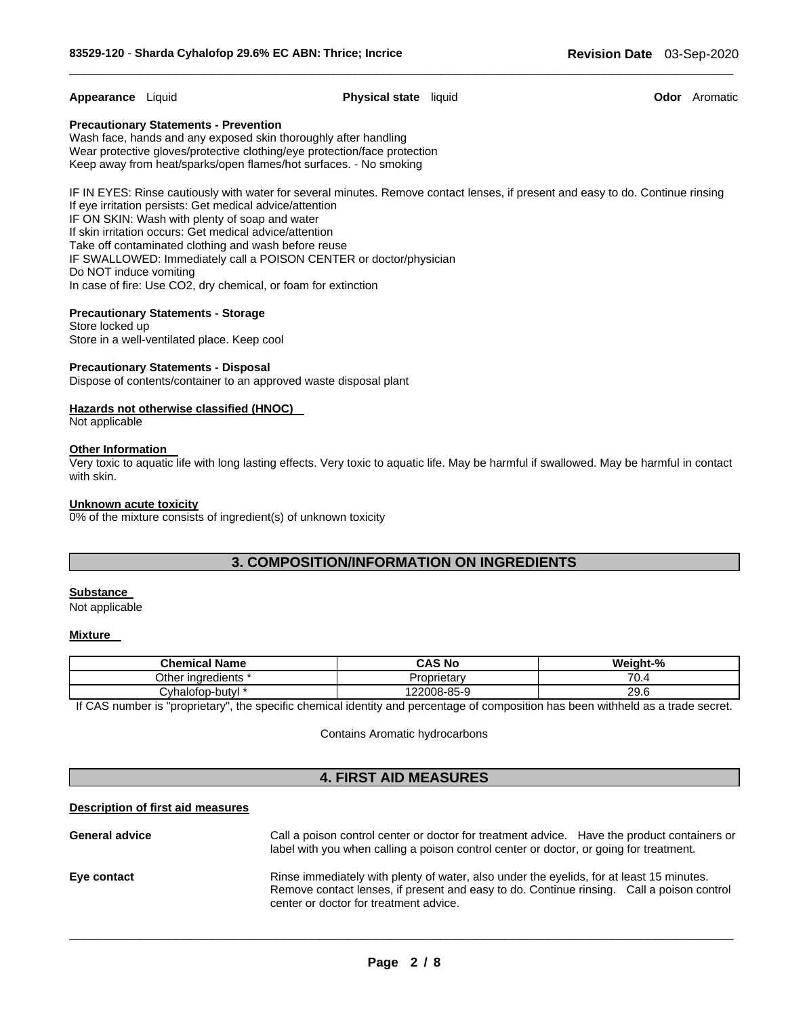**Appearance** Liquid **Physical state** liquid **Odor** Aromatic

\_\_\_\_\_\_\_\_\_\_\_\_\_\_\_\_\_\_\_\_\_\_\_\_\_\_\_\_\_\_\_\_\_\_\_\_\_\_\_\_\_\_\_\_\_\_\_\_\_\_\_\_\_\_\_\_\_\_\_\_\_\_\_\_\_\_\_\_\_\_\_\_\_\_\_\_\_\_\_\_\_\_\_\_\_\_\_\_\_\_\_\_\_

#### **Precautionary Statements - Prevention**

Wash face, hands and any exposed skin thoroughly after handling Wear protective gloves/protective clothing/eye protection/face protection Keep away from heat/sparks/open flames/hot surfaces. - No smoking

IF IN EYES: Rinse cautiously with water for several minutes. Remove contact lenses, if present and easy to do. Continue rinsing If eye irritation persists: Get medical advice/attention IF ON SKIN: Wash with plenty of soap and water If skin irritation occurs: Get medical advice/attention Take off contaminated clothing and wash before reuse IF SWALLOWED: Immediately call a POISON CENTER or doctor/physician Do NOT induce vomiting In case of fire: Use CO2, dry chemical, or foam for extinction

#### **Precautionary Statements - Storage**

Store locked up Store in a well-ventilated place. Keep cool

# **Precautionary Statements - Disposal**

Dispose of contents/container to an approved waste disposal plant

# **Hazards not otherwise classified (HNOC)**

Not applicable

# **Other Information**

Very toxic to aquatic life with long lasting effects. Very toxic to aquatic life. May be harmful if swallowed. May be harmful in contact with skin.

#### **Unknown acute toxicity**

0% of the mixture consists of ingredient(s) of unknown toxicity

# **3. COMPOSITION/INFORMATION ON INGREDIENTS**

#### **Substance**

Not applicable

### **Mixture**

| <b>Chemical Name</b>     | <b>CAS No</b>    | Weight-% |
|--------------------------|------------------|----------|
| Other<br>* inaredients * | Proprietary      | 70.4     |
| ごyhalofop-butyl *        | $.2008 - 85 - 9$ | 29.6     |

If CAS number is "proprietary", the specific chemical identity and percentage of composition has been withheld as a trade secret.

Contains Aromatic hydrocarbons

# **4. FIRST AID MEASURES**

#### **Description of first aid measures**

| <b>General advice</b> | Call a poison control center or doctor for treatment advice. Have the product containers or<br>label with you when calling a poison control center or doctor, or going for treatment.                                           |
|-----------------------|---------------------------------------------------------------------------------------------------------------------------------------------------------------------------------------------------------------------------------|
| Eye contact           | Rinse immediately with plenty of water, also under the eyelids, for at least 15 minutes.<br>Remove contact lenses, if present and easy to do. Continue rinsing. Call a poison control<br>center or doctor for treatment advice. |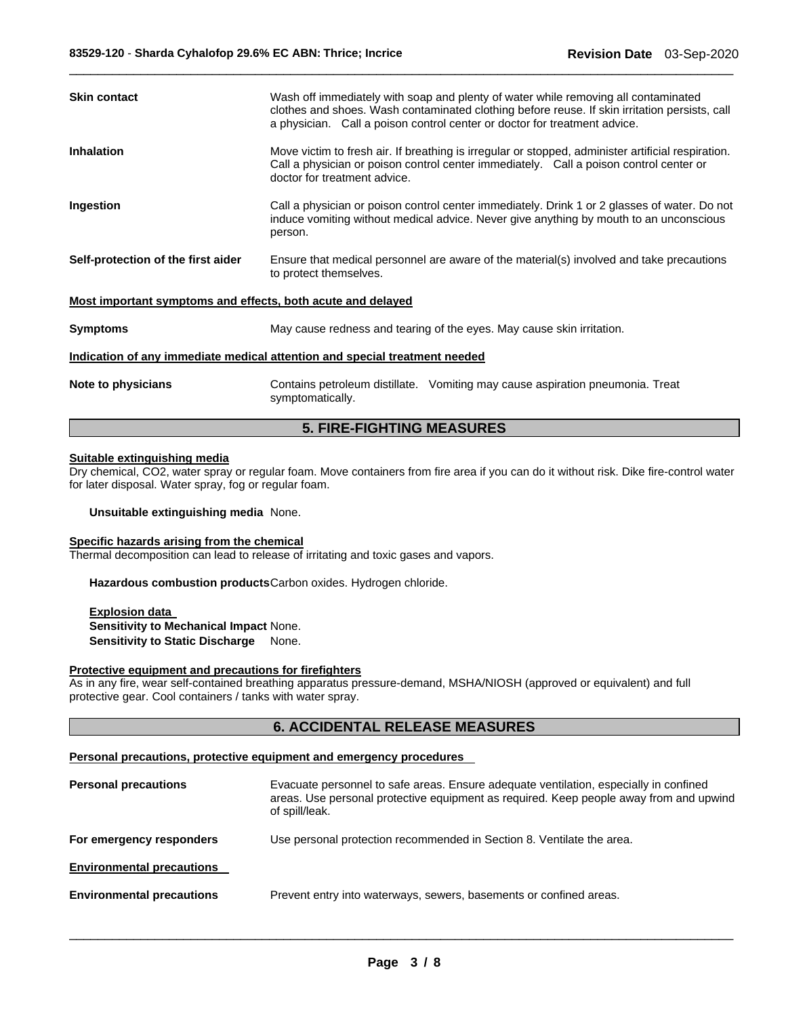| <b>Inhalation</b><br>Move victim to fresh air. If breathing is irregular or stopped, administer artificial respiration.<br>Call a physician or poison control center immediately. Call a poison control center or<br>doctor for treatment advice.<br>Ingestion<br>Call a physician or poison control center immediately. Drink 1 or 2 glasses of water. Do not<br>induce vomiting without medical advice. Never give anything by mouth to an unconscious<br>person.<br>Self-protection of the first aider<br>Ensure that medical personnel are aware of the material(s) involved and take precautions<br>to protect themselves.<br>Most important symptoms and effects, both acute and delayed<br>May cause redness and tearing of the eyes. May cause skin irritation.<br><b>Symptoms</b><br>Indication of any immediate medical attention and special treatment needed<br>Note to physicians<br>Contains petroleum distillate. Vomiting may cause aspiration pneumonia. Treat<br>symptomatically. | <b>Skin contact</b> | Wash off immediately with soap and plenty of water while removing all contaminated<br>clothes and shoes. Wash contaminated clothing before reuse. If skin irritation persists, call<br>a physician. Call a poison control center or doctor for treatment advice. |  |
|-----------------------------------------------------------------------------------------------------------------------------------------------------------------------------------------------------------------------------------------------------------------------------------------------------------------------------------------------------------------------------------------------------------------------------------------------------------------------------------------------------------------------------------------------------------------------------------------------------------------------------------------------------------------------------------------------------------------------------------------------------------------------------------------------------------------------------------------------------------------------------------------------------------------------------------------------------------------------------------------------------|---------------------|------------------------------------------------------------------------------------------------------------------------------------------------------------------------------------------------------------------------------------------------------------------|--|
|                                                                                                                                                                                                                                                                                                                                                                                                                                                                                                                                                                                                                                                                                                                                                                                                                                                                                                                                                                                                     |                     |                                                                                                                                                                                                                                                                  |  |
|                                                                                                                                                                                                                                                                                                                                                                                                                                                                                                                                                                                                                                                                                                                                                                                                                                                                                                                                                                                                     |                     |                                                                                                                                                                                                                                                                  |  |
|                                                                                                                                                                                                                                                                                                                                                                                                                                                                                                                                                                                                                                                                                                                                                                                                                                                                                                                                                                                                     |                     |                                                                                                                                                                                                                                                                  |  |
|                                                                                                                                                                                                                                                                                                                                                                                                                                                                                                                                                                                                                                                                                                                                                                                                                                                                                                                                                                                                     |                     |                                                                                                                                                                                                                                                                  |  |
|                                                                                                                                                                                                                                                                                                                                                                                                                                                                                                                                                                                                                                                                                                                                                                                                                                                                                                                                                                                                     |                     |                                                                                                                                                                                                                                                                  |  |
|                                                                                                                                                                                                                                                                                                                                                                                                                                                                                                                                                                                                                                                                                                                                                                                                                                                                                                                                                                                                     |                     |                                                                                                                                                                                                                                                                  |  |
|                                                                                                                                                                                                                                                                                                                                                                                                                                                                                                                                                                                                                                                                                                                                                                                                                                                                                                                                                                                                     |                     |                                                                                                                                                                                                                                                                  |  |

\_\_\_\_\_\_\_\_\_\_\_\_\_\_\_\_\_\_\_\_\_\_\_\_\_\_\_\_\_\_\_\_\_\_\_\_\_\_\_\_\_\_\_\_\_\_\_\_\_\_\_\_\_\_\_\_\_\_\_\_\_\_\_\_\_\_\_\_\_\_\_\_\_\_\_\_\_\_\_\_\_\_\_\_\_\_\_\_\_\_\_\_\_

# **5. FIRE-FIGHTING MEASURES**

#### **Suitable extinguishing media**

Dry chemical, CO2, water spray or regular foam. Move containers from fire area if you can do it without risk. Dike fire-control water for later disposal. Water spray, fog or regular foam.

**Unsuitable extinguishing media** None.

# **Specific hazards arising from the chemical**

Thermal decomposition can lead to release of irritating and toxic gases and vapors.

**Hazardous combustion products** Carbon oxides. Hydrogen chloride.

**Explosion data Sensitivity to Mechanical Impact** None. **Sensitivity to Static Discharge** None.

#### **Protective equipment and precautions for firefighters**

As in any fire, wear self-contained breathing apparatus pressure-demand, MSHA/NIOSH (approved or equivalent) and full protective gear. Cool containers / tanks with water spray.

# **6. ACCIDENTAL RELEASE MEASURES**

#### **Personal precautions, protective equipment and emergency procedures**

| <b>Personal precautions</b>      | Evacuate personnel to safe areas. Ensure adequate ventilation, especially in confined<br>areas. Use personal protective equipment as required. Keep people away from and upwind<br>of spill/leak. |
|----------------------------------|---------------------------------------------------------------------------------------------------------------------------------------------------------------------------------------------------|
| For emergency responders         | Use personal protection recommended in Section 8. Ventilate the area.                                                                                                                             |
| <b>Environmental precautions</b> |                                                                                                                                                                                                   |
| <b>Environmental precautions</b> | Prevent entry into waterways, sewers, basements or confined areas.                                                                                                                                |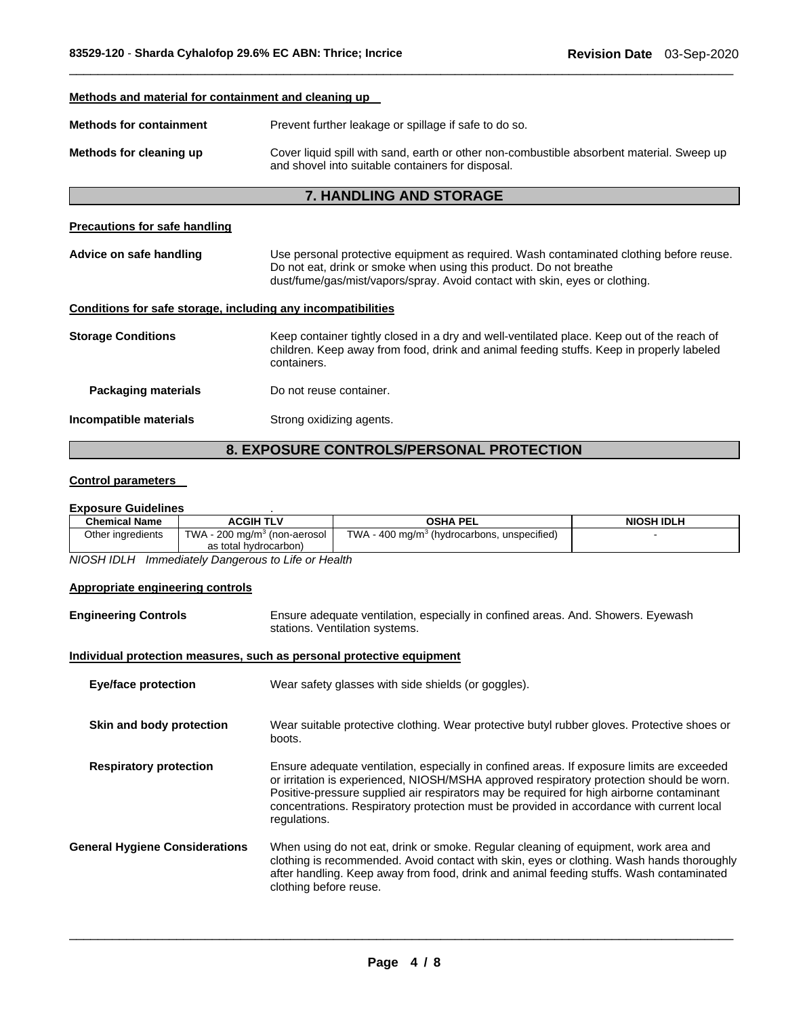# **Methods and material for containment and cleaning up Methods for containment Prevent further leakage or spillage if safe to do so. Methods for cleaning up** Cover liquid spill with sand, earth or other non-combustible absorbent material. Sweep up and shovel into suitable containers for disposal. **7. HANDLING AND STORAGE Precautions for safe handling Advice on safe handling** Use personal protective equipment as required. Wash contaminated clothing before reuse. Do not eat, drink or smoke when using this product. Do not breathe dust/fume/gas/mist/vapors/spray. Avoid contact with skin, eyes or clothing. **Conditions for safe storage, including any incompatibilities Storage Conditions** Keep container tightly closed in a dry and well-ventilated place. Keep out of the reach of children. Keep away from food, drink and animal feeding stuffs. Keep in properly labeled containers.

\_\_\_\_\_\_\_\_\_\_\_\_\_\_\_\_\_\_\_\_\_\_\_\_\_\_\_\_\_\_\_\_\_\_\_\_\_\_\_\_\_\_\_\_\_\_\_\_\_\_\_\_\_\_\_\_\_\_\_\_\_\_\_\_\_\_\_\_\_\_\_\_\_\_\_\_\_\_\_\_\_\_\_\_\_\_\_\_\_\_\_\_\_

**Packaging materials Do not reuse container. Incompatible materials Strong oxidizing agents.** 

# **8. EXPOSURE CONTROLS/PERSONAL PROTECTION**

# **Control parameters**

#### **Exposure Guidelines** .

| <b>Chemical Name</b> | <b>ACGIH TLV</b>                         | <b>OSHA PEL</b>                                         | <b>NIOSH IDLH</b> |
|----------------------|------------------------------------------|---------------------------------------------------------|-------------------|
| Other ingredients    | TWA - 200 mg/m <sup>3</sup> (non-aerosol | TWA - 400 mg/m <sup>3</sup> (hydrocarbons, unspecified) |                   |
|                      | as total hydrocarbon)                    |                                                         |                   |
| 1.1100111101111      |                                          |                                                         |                   |

*NIOSH IDLH Immediately Dangerous to Life or Health* 

## **Appropriate engineering controls**

| <b>Engineering Controls</b> | Ensure adequate ventilation, especially in confined areas. And. Showers. Eyewash |  |
|-----------------------------|----------------------------------------------------------------------------------|--|
|                             | stations. Ventilation systems.                                                   |  |

# **Individual protection measures, such as personal protective equipment**

| <b>Eye/face protection</b>            | Wear safety glasses with side shields (or goggles).                                                                                                                                                                                                                                                                                                                                            |
|---------------------------------------|------------------------------------------------------------------------------------------------------------------------------------------------------------------------------------------------------------------------------------------------------------------------------------------------------------------------------------------------------------------------------------------------|
| Skin and body protection              | Wear suitable protective clothing. Wear protective butyl rubber gloves. Protective shoes or<br>boots.                                                                                                                                                                                                                                                                                          |
| <b>Respiratory protection</b>         | Ensure adequate ventilation, especially in confined areas. If exposure limits are exceeded<br>or irritation is experienced, NIOSH/MSHA approved respiratory protection should be worn.<br>Positive-pressure supplied air respirators may be required for high airborne contaminant<br>concentrations. Respiratory protection must be provided in accordance with current local<br>regulations. |
| <b>General Hygiene Considerations</b> | When using do not eat, drink or smoke. Regular cleaning of equipment, work area and<br>clothing is recommended. Avoid contact with skin, eyes or clothing. Wash hands thoroughly<br>after handling. Keep away from food, drink and animal feeding stuffs. Wash contaminated<br>clothing before reuse.                                                                                          |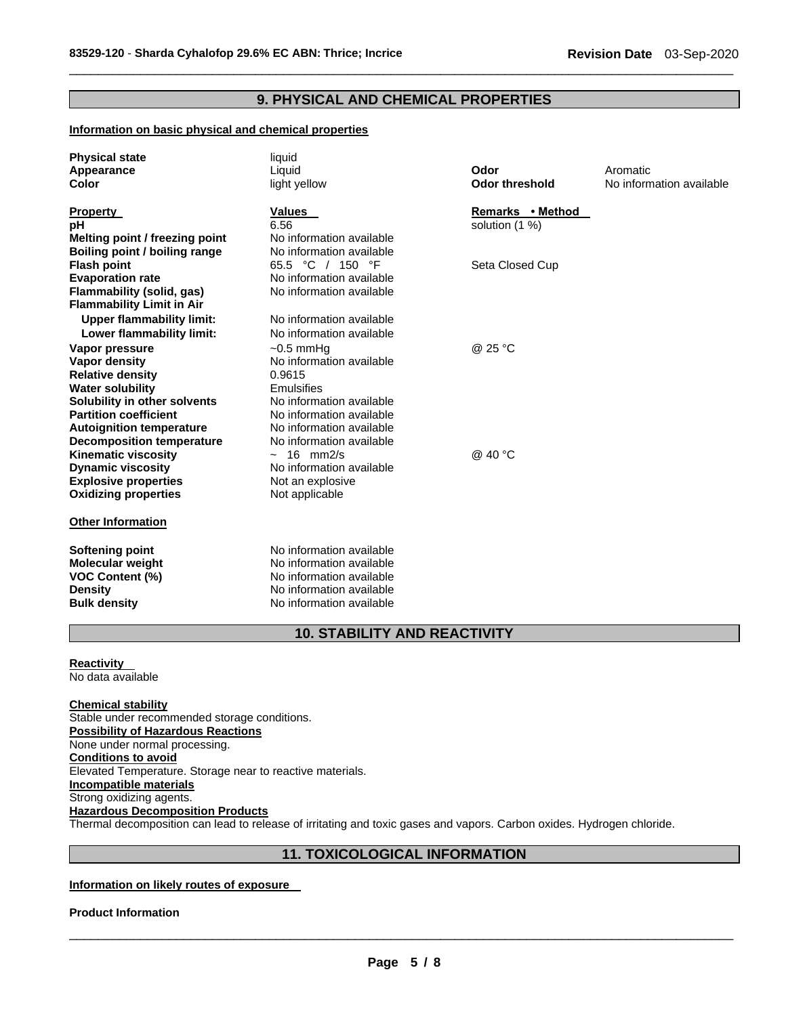# **9. PHYSICAL AND CHEMICAL PROPERTIES**

\_\_\_\_\_\_\_\_\_\_\_\_\_\_\_\_\_\_\_\_\_\_\_\_\_\_\_\_\_\_\_\_\_\_\_\_\_\_\_\_\_\_\_\_\_\_\_\_\_\_\_\_\_\_\_\_\_\_\_\_\_\_\_\_\_\_\_\_\_\_\_\_\_\_\_\_\_\_\_\_\_\_\_\_\_\_\_\_\_\_\_\_\_

# **Information on basic physical and chemical properties**

| <b>Physical state</b><br>Appearance<br>Color            | liquid<br>Liquid<br>light yellow             | Odor<br><b>Odor threshold</b> | Aromatic<br>No information available |
|---------------------------------------------------------|----------------------------------------------|-------------------------------|--------------------------------------|
| Property                                                | <b>Values</b>                                | Remarks • Method              |                                      |
| рH                                                      | 6.56                                         | solution (1 %)                |                                      |
| Melting point / freezing point                          | No information available                     |                               |                                      |
| Boiling point / boiling range                           | No information available<br>65.5 °C / 150 °F |                               |                                      |
| <b>Flash point</b><br><b>Evaporation rate</b>           | No information available                     | Seta Closed Cup               |                                      |
| Flammability (solid, gas)                               | No information available                     |                               |                                      |
| <b>Flammability Limit in Air</b>                        |                                              |                               |                                      |
| <b>Upper flammability limit:</b>                        | No information available                     |                               |                                      |
| Lower flammability limit:                               | No information available                     |                               |                                      |
| Vapor pressure                                          | $~10.5$ mmHg                                 | @ 25 °C                       |                                      |
| Vapor density                                           | No information available                     |                               |                                      |
| <b>Relative density</b>                                 | 0.9615                                       |                               |                                      |
| <b>Water solubility</b>                                 | Emulsifies                                   |                               |                                      |
| Solubility in other solvents                            | No information available                     |                               |                                      |
| <b>Partition coefficient</b>                            | No information available                     |                               |                                      |
| <b>Autoignition temperature</b>                         | No information available                     |                               |                                      |
| <b>Decomposition temperature</b>                        | No information available                     |                               |                                      |
| <b>Kinematic viscosity</b>                              | $\sim$ 16 mm2/s                              | @ 40 °C                       |                                      |
| <b>Dynamic viscosity</b><br><b>Explosive properties</b> | No information available                     |                               |                                      |
| <b>Oxidizing properties</b>                             | Not an explosive<br>Not applicable           |                               |                                      |
|                                                         |                                              |                               |                                      |
| <b>Other Information</b>                                |                                              |                               |                                      |
| Softening point                                         | No information available                     |                               |                                      |
| Molecular weight                                        | No information available                     |                               |                                      |
| <b>VOC Content (%)</b>                                  | No information available                     |                               |                                      |
| <b>Density</b>                                          | No information available                     |                               |                                      |

# **10. STABILITY AND REACTIVITY**

#### **Reactivity**  No data available

# **Chemical stability** Stable under recommended storage conditions. **Possibility of Hazardous Reactions** None under normal processing. **Conditions to avoid** Elevated Temperature. Storage near to reactive materials. **Incompatible materials** Strong oxidizing agents. **Hazardous Decomposition Products** Thermal decomposition can lead to release of irritating and toxic gases and vapors. Carbon oxides. Hydrogen chloride.

# **11. TOXICOLOGICAL INFORMATION**

# **Information on likely routes of exposure**

**Bulk density No information available** 

#### **Product Information**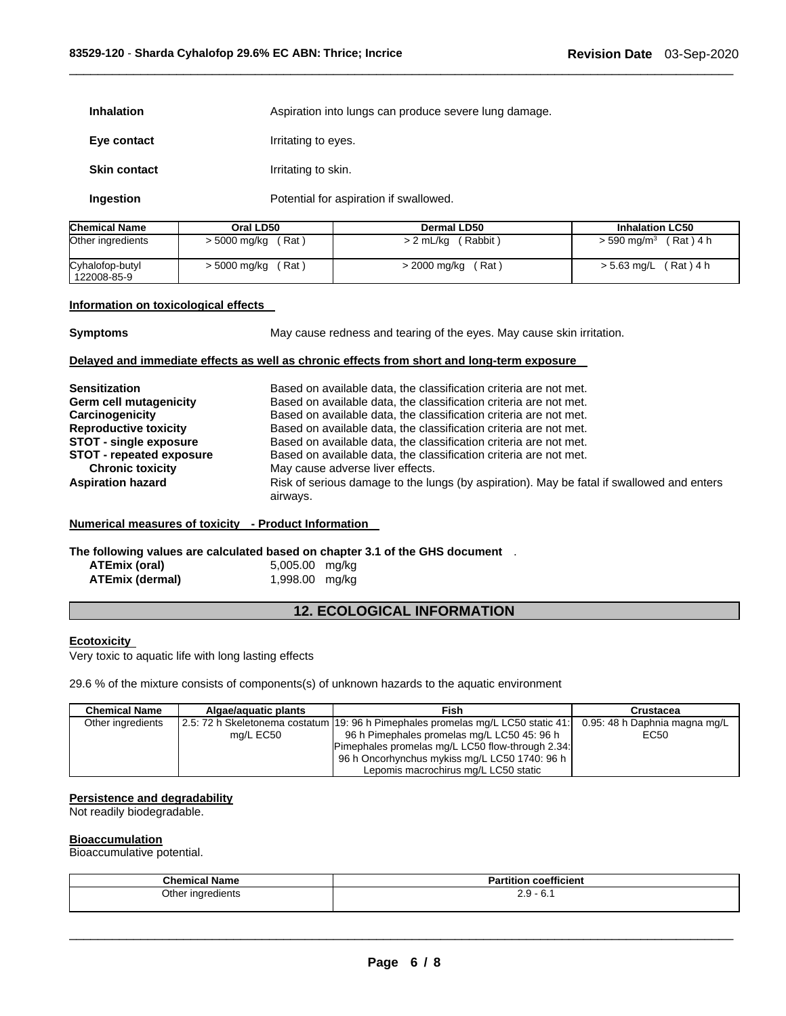| <b>Inhalation</b>   | Aspiration into lungs can produce severe lung damage. |
|---------------------|-------------------------------------------------------|
| Eye contact         | Irritating to eyes.                                   |
| <b>Skin contact</b> | Irritating to skin.                                   |
| Ingestion           | Potential for aspiration if swallowed.                |

| <b>Chemical Name</b> | Oral LD50    | Dermal LD50   | <b>Inhalation LC50</b> |
|----------------------|--------------|---------------|------------------------|
| Other ingredients    | (Rat)        | (Rabbit)      | $(Rat)$ 4 h            |
|                      | > 5000 mg/kg | $> 2$ mL/kg ( | $> 590$ ma/m $^3$      |
| Cyhalofop-butyl      | (Rat         | (Rat)         | > 5.63 mg/L (Rat) 4 h  |
| 122008-85-9          | > 5000 mg/kg | > 2000 mg/kg  |                        |

\_\_\_\_\_\_\_\_\_\_\_\_\_\_\_\_\_\_\_\_\_\_\_\_\_\_\_\_\_\_\_\_\_\_\_\_\_\_\_\_\_\_\_\_\_\_\_\_\_\_\_\_\_\_\_\_\_\_\_\_\_\_\_\_\_\_\_\_\_\_\_\_\_\_\_\_\_\_\_\_\_\_\_\_\_\_\_\_\_\_\_\_\_

#### **Information on toxicological effects**

| Symptoms | May cause redne |
|----------|-----------------|

**Symptoms May cause redness and tearing of the eyes. May cause skin irritation.** 

# **Delayed and immediate effects as well as chronic effects from short and long-term exposure**

| <b>Sensitization</b>            | Based on available data, the classification criteria are not met.                                     |
|---------------------------------|-------------------------------------------------------------------------------------------------------|
| Germ cell mutagenicity          | Based on available data, the classification criteria are not met.                                     |
| Carcinogenicity                 | Based on available data, the classification criteria are not met.                                     |
| <b>Reproductive toxicity</b>    | Based on available data, the classification criteria are not met.                                     |
| <b>STOT - single exposure</b>   | Based on available data, the classification criteria are not met.                                     |
| <b>STOT</b> - repeated exposure | Based on available data, the classification criteria are not met.                                     |
| <b>Chronic toxicity</b>         | May cause adverse liver effects.                                                                      |
| <b>Aspiration hazard</b>        | Risk of serious damage to the lungs (by aspiration). May be fatal if swallowed and enters<br>airways. |

# **Numerical measures of toxicity - Product Information**

**The following values are calculated based on chapter 3.1 of the GHS document** .

**ATEmix (oral)** 5,005.00 mg/kg **ATEmix (dermal)** 1,998.00 mg/kg

# **12. ECOLOGICAL INFORMATION**

#### **Ecotoxicity**

Very toxic to aquatic life with long lasting effects

29.6 % of the mixture consists of components(s) of unknown hazards to the aquatic environment

| <b>Chemical Name</b> | Algae/aguatic plants | Fish                                                                             | <b>Crustacea</b>              |
|----------------------|----------------------|----------------------------------------------------------------------------------|-------------------------------|
| Other ingredients    |                      | 2.5: 72 h Skeletonema costatum 19: 96 h Pimephales promelas mg/L LC50 static 41: | 0.95: 48 h Daphnia magna mg/L |
|                      | mg/L EC50            | 96 h Pimephales promelas mg/L LC50 45: 96 h                                      | EC50                          |
|                      |                      | Pimephales promelas mg/L LC50 flow-through 2.34:                                 |                               |
|                      |                      | 96 h Oncorhynchus mykiss mg/L LC50 1740: 96 h                                    |                               |
|                      |                      | Lepomis macrochirus mg/L LC50 static                                             |                               |

# **Persistence and degradability**

Not readily biodegradable.

# **Bioaccumulation**

Bioaccumulative potential.

| - - -<br>Chemical<br>Name | coetticient                                        |
|---------------------------|----------------------------------------------------|
| Other ingredients<br>.    | .ז ר<br>้<br>$ \sim$<br>د.ء<br><b>v.</b><br>$\sim$ |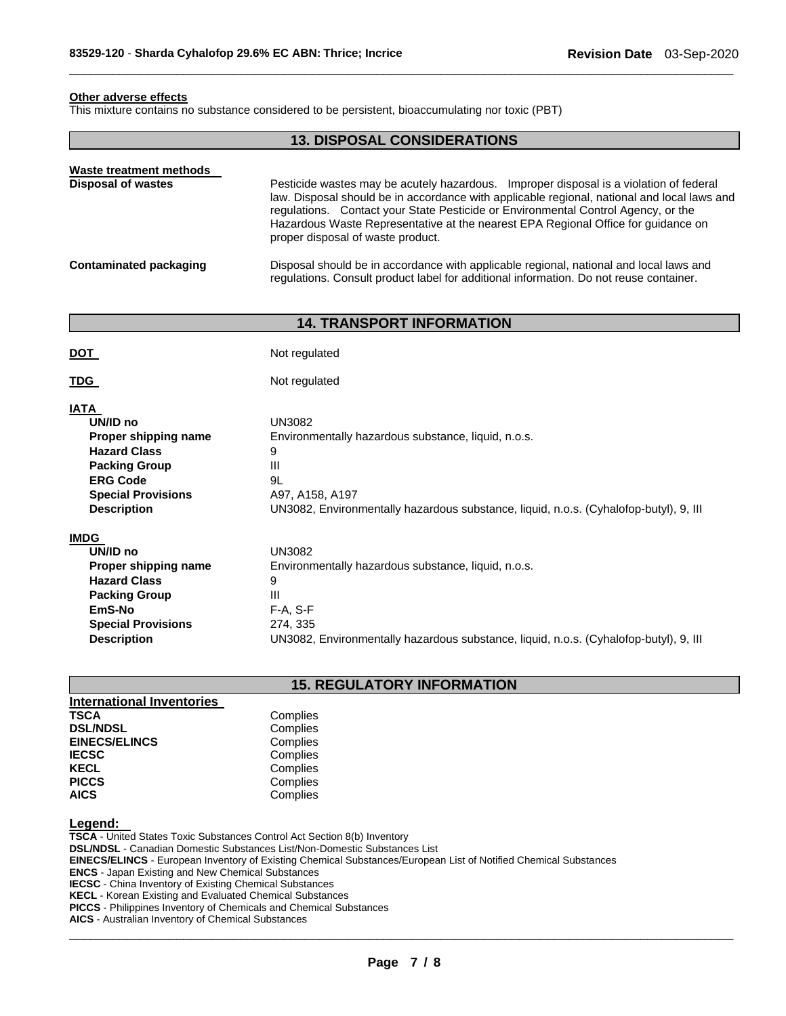# **Other adverse effects**

This mixture contains no substance considered to be persistent, bioaccumulating nor toxic (PBT)

# **13. DISPOSAL CONSIDERATIONS**

\_\_\_\_\_\_\_\_\_\_\_\_\_\_\_\_\_\_\_\_\_\_\_\_\_\_\_\_\_\_\_\_\_\_\_\_\_\_\_\_\_\_\_\_\_\_\_\_\_\_\_\_\_\_\_\_\_\_\_\_\_\_\_\_\_\_\_\_\_\_\_\_\_\_\_\_\_\_\_\_\_\_\_\_\_\_\_\_\_\_\_\_\_

| Waste treatment methods<br><b>Disposal of wastes</b> | Pesticide wastes may be acutely hazardous. Improper disposal is a violation of federal<br>law. Disposal should be in accordance with applicable regional, national and local laws and<br>regulations. Contact your State Pesticide or Environmental Control Agency, or the<br>Hazardous Waste Representative at the nearest EPA Regional Office for guidance on<br>proper disposal of waste product. |
|------------------------------------------------------|------------------------------------------------------------------------------------------------------------------------------------------------------------------------------------------------------------------------------------------------------------------------------------------------------------------------------------------------------------------------------------------------------|
| Contaminated packaging                               | Disposal should be in accordance with applicable regional, national and local laws and<br>requiations. Consult product label for additional information. Do not reuse container.                                                                                                                                                                                                                     |

# **14. TRANSPORT INFORMATION**

| DOT                                                                                                                                                                  | Not regulated                                                                                                                                                                                    |
|----------------------------------------------------------------------------------------------------------------------------------------------------------------------|--------------------------------------------------------------------------------------------------------------------------------------------------------------------------------------------------|
| TDG                                                                                                                                                                  | Not regulated                                                                                                                                                                                    |
| <b>IATA</b><br>UN/ID no<br>Proper shipping name<br><b>Hazard Class</b><br><b>Packing Group</b><br><b>ERG Code</b><br><b>Special Provisions</b><br><b>Description</b> | <b>UN3082</b><br>Environmentally hazardous substance, liquid, n.o.s.<br>9<br>Ш<br>9L<br>A97, A158, A197<br>UN3082, Environmentally hazardous substance, liquid, n.o.s. (Cyhalofop-butyl), 9, III |
| <b>IMDG</b>                                                                                                                                                          |                                                                                                                                                                                                  |
| UN/ID no                                                                                                                                                             | <b>UN3082</b>                                                                                                                                                                                    |
| Proper shipping name                                                                                                                                                 | Environmentally hazardous substance, liquid, n.o.s.                                                                                                                                              |
| <b>Hazard Class</b>                                                                                                                                                  | 9                                                                                                                                                                                                |
| <b>Packing Group</b>                                                                                                                                                 | Ш                                                                                                                                                                                                |
| EmS-No                                                                                                                                                               | $F-A, S-F$                                                                                                                                                                                       |
| <b>Special Provisions</b>                                                                                                                                            | 274, 335                                                                                                                                                                                         |
| <b>Description</b>                                                                                                                                                   | UN3082, Environmentally hazardous substance, liquid, n.o.s. (Cyhalofop-butyl), 9, III                                                                                                            |

# **15. REGULATORY INFORMATION**

| <b>International Inventories</b> |          |
|----------------------------------|----------|
| <b>TSCA</b>                      | Complies |
| <b>DSL/NDSL</b>                  | Complies |
| <b>EINECS/ELINCS</b>             | Complies |
| <b>IECSC</b>                     | Complies |
| <b>KECL</b>                      | Complies |
| <b>PICCS</b>                     | Complies |
| <b>AICS</b>                      | Complies |

# **Legend:**

**TSCA** - United States Toxic Substances Control Act Section 8(b) Inventory **DSL/NDSL** - Canadian Domestic Substances List/Non-Domestic Substances List **EINECS/ELINCS** - European Inventory of Existing Chemical Substances/European List of Notified Chemical Substances **ENCS** - Japan Existing and New Chemical Substances **IECSC** - China Inventory of Existing Chemical Substances **KECL** - Korean Existing and Evaluated Chemical Substances **PICCS** - Philippines Inventory of Chemicals and Chemical Substances

**AICS** - Australian Inventory of Chemical Substances